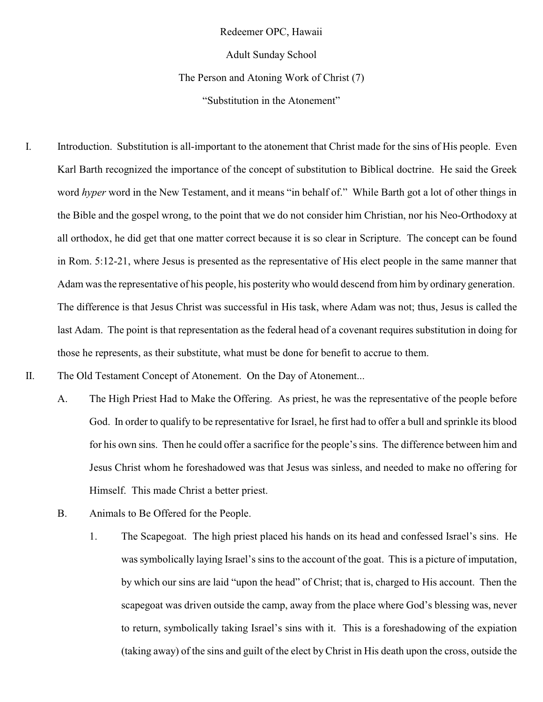Redeemer OPC, Hawaii

Adult Sunday School

The Person and Atoning Work of Christ (7)

"Substitution in the Atonement"

- I. Introduction. Substitution is all-important to the atonement that Christ made for the sins of His people. Even Karl Barth recognized the importance of the concept of substitution to Biblical doctrine. He said the Greek word *hyper* word in the New Testament, and it means "in behalf of." While Barth got a lot of other things in the Bible and the gospel wrong, to the point that we do not consider him Christian, nor his Neo-Orthodoxy at all orthodox, he did get that one matter correct because it is so clear in Scripture. The concept can be found in Rom. 5:12-21, where Jesus is presented as the representative of His elect people in the same manner that Adam was the representative of his people, his posterity who would descend from him by ordinary generation. The difference is that Jesus Christ was successful in His task, where Adam was not; thus, Jesus is called the last Adam. The point is that representation as the federal head of a covenant requires substitution in doing for those he represents, as their substitute, what must be done for benefit to accrue to them.
- II. The Old Testament Concept of Atonement. On the Day of Atonement...
	- A. The High Priest Had to Make the Offering. As priest, he was the representative of the people before God. In order to qualify to be representative for Israel, he first had to offer a bull and sprinkle its blood for his own sins. Then he could offer a sacrifice for the people's sins. The difference between him and Jesus Christ whom he foreshadowed was that Jesus was sinless, and needed to make no offering for Himself. This made Christ a better priest.
	- B. Animals to Be Offered for the People.
		- 1. The Scapegoat. The high priest placed his hands on its head and confessed Israel's sins. He was symbolically laying Israel's sins to the account of the goat. This is a picture of imputation, by which our sins are laid "upon the head" of Christ; that is, charged to His account. Then the scapegoat was driven outside the camp, away from the place where God's blessing was, never to return, symbolically taking Israel's sins with it. This is a foreshadowing of the expiation (taking away) of the sins and guilt of the elect by Christ in His death upon the cross, outside the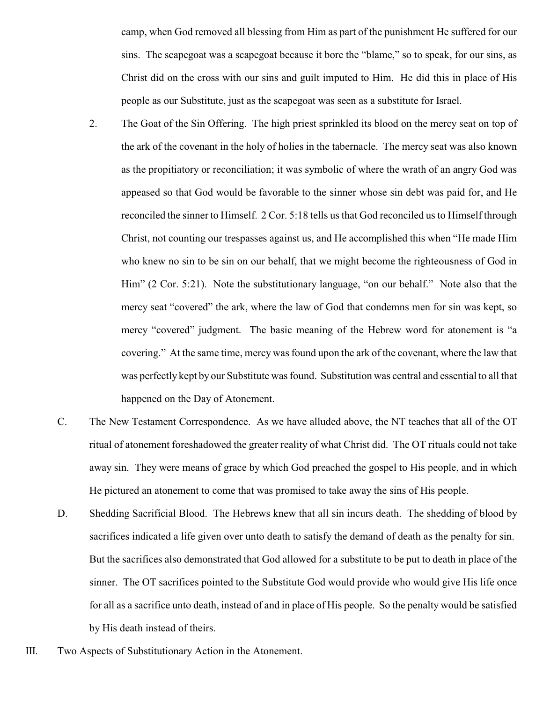camp, when God removed all blessing from Him as part of the punishment He suffered for our sins. The scapegoat was a scapegoat because it bore the "blame," so to speak, for our sins, as Christ did on the cross with our sins and guilt imputed to Him. He did this in place of His people as our Substitute, just as the scapegoat was seen as a substitute for Israel.

- 2. The Goat of the Sin Offering. The high priest sprinkled its blood on the mercy seat on top of the ark of the covenant in the holy of holies in the tabernacle. The mercy seat was also known as the propitiatory or reconciliation; it was symbolic of where the wrath of an angry God was appeased so that God would be favorable to the sinner whose sin debt was paid for, and He reconciled the sinner to Himself. 2 Cor. 5:18 tells us that God reconciled us to Himself through Christ, not counting our trespasses against us, and He accomplished this when "He made Him who knew no sin to be sin on our behalf, that we might become the righteousness of God in Him" (2 Cor. 5:21). Note the substitutionary language, "on our behalf." Note also that the mercy seat "covered" the ark, where the law of God that condemns men for sin was kept, so mercy "covered" judgment. The basic meaning of the Hebrew word for atonement is "a covering." At the same time, mercy was found upon the ark of the covenant, where the law that was perfectly kept by our Substitute was found. Substitution was central and essential to all that happened on the Day of Atonement.
- C. The New Testament Correspondence. As we have alluded above, the NT teaches that all of the OT ritual of atonement foreshadowed the greater reality of what Christ did. The OT rituals could not take away sin. They were means of grace by which God preached the gospel to His people, and in which He pictured an atonement to come that was promised to take away the sins of His people.
- D. Shedding Sacrificial Blood. The Hebrews knew that all sin incurs death. The shedding of blood by sacrifices indicated a life given over unto death to satisfy the demand of death as the penalty for sin. But the sacrifices also demonstrated that God allowed for a substitute to be put to death in place of the sinner. The OT sacrifices pointed to the Substitute God would provide who would give His life once for all as a sacrifice unto death, instead of and in place of His people. So the penalty would be satisfied by His death instead of theirs.
- III. Two Aspects of Substitutionary Action in the Atonement.